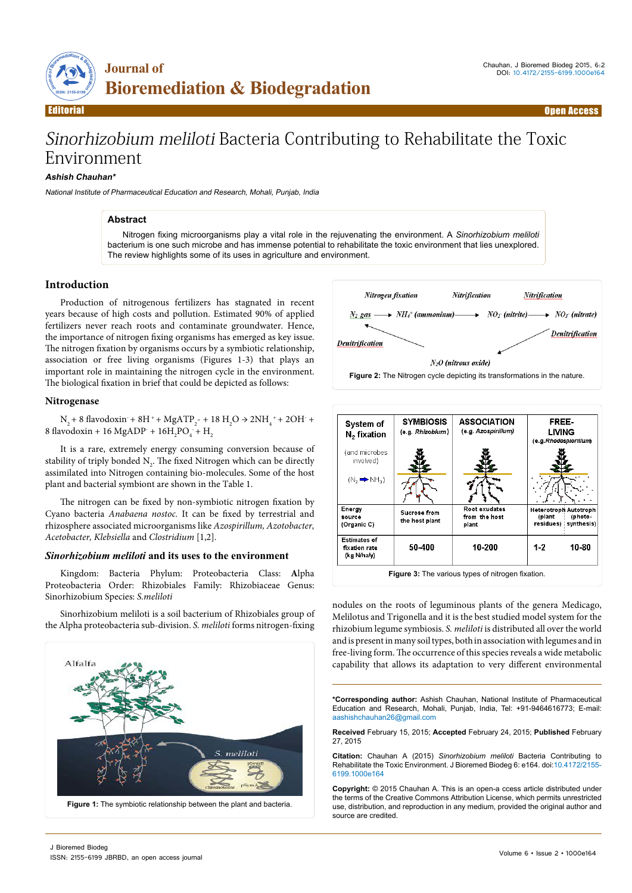

# Sinorhizobium meliloti Bacteria Contributing to Rehabilitate the Toxic Environment

## **Ashish Chauhan\***

National Institute of Pharmaceutical Education and Research, Mohali, Punjab, India

#### **Abstract**

Nitrogen fixing microorganisms play a vital role in the rejuvenating the environment. A *Sinorhizobium meliloti*  bacterium is one such microbe and has immense potential to rehabilitate the toxic environment that lies unexplored. The review highlights some of its uses in agriculture and environment.

## **Introduction**

Production of nitrogenous fertilizers has stagnated in recent years because of high costs and pollution. Estimated 90% of applied fertilizers never reach roots and contaminate groundwater. Hence, the importance of nitrogen fixing organisms has emerged as key issue. The nitrogen fixation by organisms occurs by a symbiotic relationship, association or free living organisms (Figures 1-3) that plays an important role in maintaining the nitrogen cycle in the environment. The biological fixation in brief that could be depicted as follows:

#### **Nitrogenase**

 $N_2 + 8$  flavodoxin + 8H + + MgATP<sub>2</sub> - + 18 H<sub>2</sub>O  $\rightarrow$  2NH<sub>4</sub> + + 2OH + 8 flavodoxin + 16 MgADP +  $16H_2PO_4 + H_2$ 

It is a rare, extremely energy consuming conversion because of stability of triply bonded  $N_2$ . The fixed Nitrogen which can be directly assimilated into Nitrogen containing bio-molecules. Some of the host plant and bacterial symbiont are shown in the Table 1.

The nitrogen can be fixed by non-symbiotic nitrogen fixation by Cyano bacteria *Anabaena nostoc.* It can be fixed by terrestrial and rhizosphere associated microorganisms like *Azospirillum, Azotobacter, Acetobacter, Klebsiella* and *Clostridium* [1,2].

### *Sinorhizobium meliloti* **and its uses to the environment**

Kingdom: Bacteria Phylum: Proteobacteria Class: **A**lpha Proteobacteria Order: Rhizobiales Family: Rhizobiaceae Genus: Sinorhizobium Species: *S.meliloti*

Sinorhizobium meliloti is a soil bacterium of Rhizobiales group of the Alpha proteobacteria sub-division. *S. meliloti* forms nitrogen-fixing







nodules on the roots of leguminous plants of the genera Medicago, Melilotus and Trigonella and it is the best studied model system for the rhizobium legume symbiosis. *S. meliloti* is distributed all over the world and is present in many soil types, both in association with legumes and in free-living form. The occurrence of this species reveals a wide metabolic capability that allows its adaptation to very different environmental

**\*Corresponding author:** Ashish Chauhan, National Institute of Pharmaceutical Education and Research, Mohali, Punjab, India, Tel: +91-9464616773; E-mail: aashishchauhan26@gmail.com

**Received** February 15, 2015; **Accepted** February 24, 2015; **Published** February 27, 2015

**Citation:** Chauhan A (2015) *Sinorhizobium meliloti* Bacteria Contributing to Rehabilitate the Toxic Environment. J Bioremed Biodeg 6: e164. doi:10.4172/2155- 6199.1000e164

**Copyright:** © 2015 Chauhan A. This is an open-a ccess article distributed under the terms of the Creative Commons Attribution License, which permits unrestricted use, distribution, and reproduction in any medium, provided the original author and source are credited.